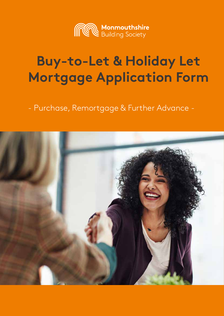

# **Buy-to-Let & Holiday Let Mortgage Application Form**

- Purchase, Remortgage & Further Advance -

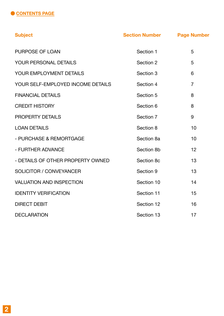

| <b>Subject</b>                    | <b>Section Number</b> | <b>Page Number</b> |
|-----------------------------------|-----------------------|--------------------|
| <b>PURPOSE OF LOAN</b>            | Section 1             | 5                  |
| YOUR PERSONAL DETAILS             | Section 2             | 5                  |
| YOUR EMPLOYMENT DETAILS           | Section 3             | 6                  |
| YOUR SELF-EMPLOYED INCOME DETAILS | Section 4             | $\overline{7}$     |
| <b>FINANCIAL DETAILS</b>          | Section 5             | 8                  |
| <b>CREDIT HISTORY</b>             | Section 6             | 8                  |
| <b>PROPERTY DETAILS</b>           | Section 7             | 9                  |
| <b>LOAN DETAILS</b>               | Section 8             | 10                 |
| - PURCHASE & REMORTGAGE           | Section 8a            | 10                 |
| - FURTHER ADVANCE                 | Section 8b            | 12                 |
| - DETAILS OF OTHER PROPERTY OWNED | Section 8c            | 13                 |
| <b>SOLICITOR / CONVEYANCER</b>    | Section 9             | 13                 |
| <b>VALUATION AND INSPECTION</b>   | Section 10            | 14                 |
| <b>IDENTITY VERIFICATION</b>      | Section 11            | 15                 |
| <b>DIRECT DEBIT</b>               | Section 12            | 16                 |
| <b>DECLARATION</b>                | Section 13            | 17                 |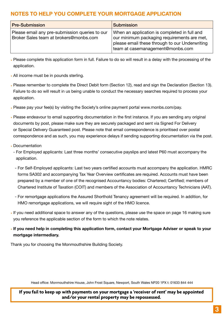# **NOTES TO HELP YOU COMPLETE YOUR MORTGAGE APPLICATION**

| <b>Pre-Submission</b>                                                                    | <b>Submission</b>                                                                                                                                                                 |
|------------------------------------------------------------------------------------------|-----------------------------------------------------------------------------------------------------------------------------------------------------------------------------------|
| Please email any pre-submission queries to our<br>Broker Sales team at brokers@monbs.com | When an application is completed in full and<br>our minimum packaging requirements are met,<br>please email these through to our Underwriting<br>team at casemanagement@monbs.com |

- Please complete this application form in full. Failure to do so will result in a delay with the processing of the application.
- All income must be in pounds sterling.
- Please remember to complete the Direct Debit form (Section 12), read and sign the Declaration (Section 13). Failure to do so will result in us being unable to conduct the necessary searches required to process your application.
- Please pay your fee(s) by visiting the Society's online payment portal www.monbs.com/pay.
- Please endeavour to email supporting documentation in the first instance. If you are sending any original documents by post, please make sure they are securely packaged and sent via Signed For Delivery or Special Delivery Guaranteed post. Please note that email correspondence is prioritised over postal correspondence and as such, you may experience delays if sending supporting documentation via the post.
- Documentation
	- For Employed applicants: Last three months' consecutive payslips and latest P60 must accompany the application.
	- For Self-Employed applicants: Last two years certified accounts must accompany the application. HMRC forms SA302 and accompanying Tax Year Overview certificates are required. Accounts must have been prepared by a member of one of the recognised Accountancy bodies: Chartered; Certified; members of Chartered Institute of Taxation (COIT) and members of the Association of Accountancy Technicians (AAT).
	- For remortgage applications the Assured Shorthold Tenancy agreement will be required. In addition, for HMO remortgage applications, we will require sight of the HMO licence.
- If you need additional space to answer any of the questions, please use the space on page 16 making sure you reference the applicable section of the form to which the note relates.
- **• If you need help in completing this application form, contact your Mortgage Adviser or speak to your mortgage intermediary.**

Thank you for choosing the Monmouthshire Building Society.

Head office: Monmouthshire House, John Frost Square, Newport, South Wales NP20 1PX t: 01633 844 444

**If you fail to keep up with payments on your mortgage a 'receiver of rent' may be appointed and/or your rental property may be repossessed.**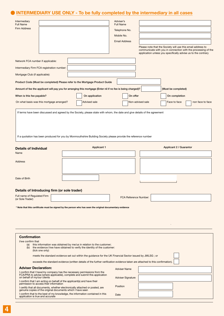# **INTERMEDIARY USE ONLY - To be fully completed by the intermediary in all cases**

| Intermediary<br><b>Full Name</b>                                                                                                           |                                                                                                                                                                                                                                              | Adviser's<br><b>Full Name</b> |                                                             |                                                                                                                                |
|--------------------------------------------------------------------------------------------------------------------------------------------|----------------------------------------------------------------------------------------------------------------------------------------------------------------------------------------------------------------------------------------------|-------------------------------|-------------------------------------------------------------|--------------------------------------------------------------------------------------------------------------------------------|
| <b>Firm Address</b>                                                                                                                        |                                                                                                                                                                                                                                              | Telephone No.                 |                                                             |                                                                                                                                |
|                                                                                                                                            |                                                                                                                                                                                                                                              | Mobile No.                    |                                                             |                                                                                                                                |
|                                                                                                                                            |                                                                                                                                                                                                                                              | <b>Email Address</b>          |                                                             |                                                                                                                                |
|                                                                                                                                            |                                                                                                                                                                                                                                              |                               | Please note that the Society will use this email address to |                                                                                                                                |
|                                                                                                                                            |                                                                                                                                                                                                                                              |                               |                                                             | communicate with you in connection with the processing of the<br>application unless you specifically advise us to the contrary |
| Network FCA number if applicable:                                                                                                          |                                                                                                                                                                                                                                              |                               |                                                             |                                                                                                                                |
| Intermediary Firm FCA registration number:                                                                                                 |                                                                                                                                                                                                                                              |                               |                                                             |                                                                                                                                |
| Mortgage Club (if applicable):                                                                                                             |                                                                                                                                                                                                                                              |                               |                                                             |                                                                                                                                |
|                                                                                                                                            | Product Code (Must be completed) Please refer to the Mortgage Product Guide                                                                                                                                                                  |                               |                                                             |                                                                                                                                |
|                                                                                                                                            | Amount of fee the applicant will pay you for arranging this mortgage (Enter nil if no fee is being charged)?                                                                                                                                 |                               |                                                             | (Must be completed)                                                                                                            |
| When is this fee payable?                                                                                                                  | On application                                                                                                                                                                                                                               | On offer                      |                                                             | On completion                                                                                                                  |
| On what basis was this mortgage arranged?                                                                                                  | <b>Advised sale</b>                                                                                                                                                                                                                          |                               | Non-advised sale                                            | Face to face<br>non face to face                                                                                               |
|                                                                                                                                            | If terms have been discussed and agreed by the Society, please state with whom, the date and give details of the agreement<br>If a quotation has been produced for you by Monmouthshire Building Society please provide the reference number |                               |                                                             |                                                                                                                                |
| <b>Details of Individual</b>                                                                                                               | <b>Applicant 1</b>                                                                                                                                                                                                                           |                               |                                                             | Applicant 2 / Guarantor                                                                                                        |
| Name                                                                                                                                       |                                                                                                                                                                                                                                              |                               |                                                             |                                                                                                                                |
|                                                                                                                                            |                                                                                                                                                                                                                                              |                               |                                                             |                                                                                                                                |
| <b>Address</b>                                                                                                                             |                                                                                                                                                                                                                                              |                               |                                                             |                                                                                                                                |
|                                                                                                                                            |                                                                                                                                                                                                                                              |                               |                                                             |                                                                                                                                |
| Date of Birth                                                                                                                              |                                                                                                                                                                                                                                              |                               |                                                             |                                                                                                                                |
|                                                                                                                                            |                                                                                                                                                                                                                                              |                               |                                                             |                                                                                                                                |
| Details of Introducing firm (or sole trader)                                                                                               |                                                                                                                                                                                                                                              |                               |                                                             |                                                                                                                                |
| Full name of Regulated Firm<br>(or Sole Trader)                                                                                            |                                                                                                                                                                                                                                              | FCA Reference Number:         |                                                             |                                                                                                                                |
|                                                                                                                                            | Note that this certificate must be signed by the person who has seen the original documentary evidence                                                                                                                                       |                               |                                                             |                                                                                                                                |
| <b>Confirmation</b>                                                                                                                        |                                                                                                                                                                                                                                              |                               |                                                             |                                                                                                                                |
| I/we confirm that<br>(a)<br>(b)<br>(tick one only)                                                                                         | this information was obtained by me/us in relation to the customer;<br>the evidence I/we have obtained to verify the identity of the customer:                                                                                               |                               |                                                             |                                                                                                                                |
|                                                                                                                                            | meets the standard evidence set out within the guidance for the UK Financial Sector issued by JMLSG; or                                                                                                                                      |                               |                                                             |                                                                                                                                |
|                                                                                                                                            | exceeds the standard evidence (written details of the further verification evidence taken are attached to this confirmation).                                                                                                                |                               |                                                             |                                                                                                                                |
| <b>Adviser Declaration:</b>                                                                                                                |                                                                                                                                                                                                                                              | <b>Adviser Name</b>           |                                                             |                                                                                                                                |
| I confirm that I have/my company has the necessary permissions from the<br>on behalf of my/our clients                                     | FCA/PRA to advise (where applicable), complete and submit this application                                                                                                                                                                   | <b>Adviser Signature</b>      |                                                             |                                                                                                                                |
| I confirm that I am acting on behalf of the applicant(s) and have their<br>permission to access their information                          |                                                                                                                                                                                                                                              |                               |                                                             |                                                                                                                                |
| I certify that all documents, whether electronically attached or posted, are<br>genuine copies of the original documents which I have seen |                                                                                                                                                                                                                                              | Position                      |                                                             |                                                                                                                                |
| application is true and accurate                                                                                                           | I confirm that to the best of my knowledge, the information contained in this                                                                                                                                                                | Date                          |                                                             |                                                                                                                                |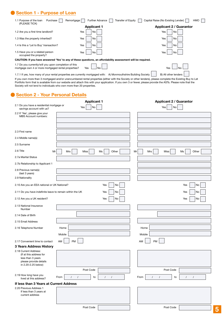# **Section 1 - Purpose of Loan**

| 1.1 Purpose of the loan<br>Purchase<br>Remortgage<br>(PLEASE TICK)                                           | <b>Further Advance</b><br>Transfer of Equity                                                                 | Capital Raise (No Existing Lender)<br><b>HMO</b> |
|--------------------------------------------------------------------------------------------------------------|--------------------------------------------------------------------------------------------------------------|--------------------------------------------------|
|                                                                                                              | <b>Applicant 1</b>                                                                                           | <b>Applicant 2 / Guarantor</b>                   |
| 1.2 Are you a first time landlord?                                                                           | Yes<br>No                                                                                                    | No<br>Yes                                        |
| 1.3 Was the property inherited?                                                                              | Yes<br>No                                                                                                    | Yes<br>No                                        |
| 1.4 Is this a 'Let to Buy' transaction?                                                                      | Yes<br>No                                                                                                    | Yes<br>No                                        |
| 1.5 Have you or a related person<br>occupied the property?                                                   | Yes<br>No                                                                                                    | No<br>Yes                                        |
|                                                                                                              | CAUTION: If you have answered 'Yes' to any of these questions, an affordability assessment will be required. |                                                  |
| 1.7 Do you currently/will you upon completion of this<br>mortgage own 4 or more mortgaged rental properties? | Yes<br>Nο                                                                                                    | Yes<br>No                                        |

1.7.1 If yes, how many of your rental properties are currently mortgaged with: A) Monmouthshire Building Society [B] All other lenders If you own more than 3 mortgaged and/or unencumbered rental properties (either with the Society or other lenders), please complete the Existing Buy to Let Portfolio form that is available from our website and attach this with your application. If you own 3 or fewer, please provide the ASTs. Please note that the Society will not lend to individuals who own more than 20 properties.

## **Section 2 - Your Personal Details**

|                                                                                                                        | <b>Applicant 1</b>                                         | <b>Applicant 2 / Guarantor</b>                                 |
|------------------------------------------------------------------------------------------------------------------------|------------------------------------------------------------|----------------------------------------------------------------|
| 2.1 Do you have a residential mortgage or<br>savings account with us?                                                  | $\operatorname{\mathsf{No}}$<br>Yes                        | Yes<br>No                                                      |
| 2.2 If 'Yes', please give your<br>MBS Account numbers:                                                                 |                                                            |                                                                |
|                                                                                                                        |                                                            |                                                                |
|                                                                                                                        |                                                            |                                                                |
| 2.3 First name                                                                                                         |                                                            |                                                                |
| 2.4 Middle name(s)                                                                                                     |                                                            |                                                                |
| 2.5 Surname                                                                                                            |                                                            |                                                                |
| 2.6 Title<br>Mr                                                                                                        | Other<br>Mrs<br>Miss<br>Ms                                 | Other<br>Mrs<br>Miss<br>Ms<br>Mr                               |
| 2.7a Marital Status                                                                                                    |                                                            |                                                                |
| 2.7b Relationship to Applicant 1                                                                                       |                                                            |                                                                |
| 2.8 Previous name(s)<br>(last 3 years)                                                                                 |                                                            |                                                                |
| 2.9 Nationality                                                                                                        |                                                            |                                                                |
| 2.10 Are you an EEA national or UK National?                                                                           | Yes<br>No                                                  | No<br>Yes                                                      |
| 2.11 Do you have indefinite leave to remain within the UK                                                              | Yes<br>No                                                  | Yes<br>No                                                      |
| 2.12 Are you a UK resident?                                                                                            | Yes<br>No                                                  | Yes<br>No                                                      |
| 2.13 National Insurance<br>Number                                                                                      |                                                            |                                                                |
| 2.14 Date of Birth                                                                                                     |                                                            |                                                                |
| 2.15 Email Address                                                                                                     |                                                            |                                                                |
| 2.16 Telephone Number                                                                                                  | Home                                                       | Home                                                           |
|                                                                                                                        | Mobile                                                     | Mobile                                                         |
| 2.17 Convenient time to contact                                                                                        | PM<br>AM                                                   | <b>PM</b><br>AM                                                |
| 3 Years Address History                                                                                                |                                                            |                                                                |
| 2.18 Current Address:<br>(If at this address for<br>less than 3 years<br>please provide details<br>in 2.20-2.25 below) |                                                            |                                                                |
|                                                                                                                        | Post Code                                                  | Post Code                                                      |
| 2.19 How long have you<br>lived at this address?                                                                       | to<br>$\prime$<br>$\prime$<br>From<br>$\prime$<br>$\prime$ | From<br>$\sqrt{ }$<br>$\prime$<br>to<br>$\sqrt{ }$<br>$\prime$ |
| If less than 3 Years at Current Address                                                                                |                                                            |                                                                |
| 2.20 Previous Address 1<br>If less than 3 years at<br>current address                                                  |                                                            |                                                                |
|                                                                                                                        | Post Code                                                  | Post Code                                                      |
|                                                                                                                        |                                                            |                                                                |

**5**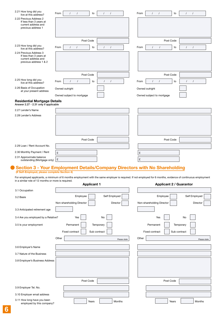| 2.21 How long did you<br>live at this address?                                                                                                                                                                       | From<br>to<br>$\prime$<br>$\prime$                                         | $\prime$<br>$\prime$   | From  | $\prime$<br>$\prime$           | to           | $\prime$<br>$\prime$ |              |
|----------------------------------------------------------------------------------------------------------------------------------------------------------------------------------------------------------------------|----------------------------------------------------------------------------|------------------------|-------|--------------------------------|--------------|----------------------|--------------|
| 2.22 Previous Address 2<br>If less than 3 years at<br>current address and<br>previous address 1                                                                                                                      |                                                                            |                        |       |                                |              |                      |              |
|                                                                                                                                                                                                                      | Post Code                                                                  |                        |       | Post Code                      |              |                      |              |
| 2.23 How long did you                                                                                                                                                                                                | From<br>to<br>$\prime$<br>$\prime$                                         | $\prime$<br>$\prime$   | From  | $\prime$<br>$\prime$           | to           | $\prime$<br>$\prime$ |              |
| live at this address?<br>2.24 Previous Address 3<br>If less than 3 years at<br>current address and<br>previous address 1 & 2                                                                                         |                                                                            |                        |       |                                |              |                      |              |
|                                                                                                                                                                                                                      | Post Code                                                                  |                        |       | Post Code                      |              |                      |              |
| 2.25 How long did you<br>live at this address?                                                                                                                                                                       | From<br>to<br>$\prime$<br>$\prime$                                         | $\prime$<br>$\sqrt{ }$ | From  | $\prime$<br>$\prime$           | to           | $\prime$<br>$\prime$ |              |
| 2.26 Basis of Occupation<br>at your present address                                                                                                                                                                  | Owned outright                                                             |                        |       | Owned outright                 |              |                      |              |
|                                                                                                                                                                                                                      | Owned subject to mortgage                                                  |                        |       | Owned subject to mortgage      |              |                      |              |
| <b>Residential Mortgage Details</b><br>Answer 2.27 - 2.31 only if applicable                                                                                                                                         |                                                                            |                        |       |                                |              |                      |              |
| 2.27 Lender's Name                                                                                                                                                                                                   |                                                                            |                        |       |                                |              |                      |              |
| 2.28 Lender's Address                                                                                                                                                                                                |                                                                            |                        |       |                                |              |                      |              |
|                                                                                                                                                                                                                      |                                                                            |                        |       |                                |              |                      |              |
|                                                                                                                                                                                                                      | Post Code                                                                  |                        |       | Post Code                      |              |                      |              |
| 2.29 Loan / Rent Account No.                                                                                                                                                                                         |                                                                            |                        |       |                                |              |                      |              |
|                                                                                                                                                                                                                      |                                                                            |                        |       |                                |              |                      |              |
| 2.30 Monthly Payment / Rent<br>2.31 Approximate balance                                                                                                                                                              | £                                                                          |                        | £     |                                |              |                      |              |
| outstanding (Mortgage only)                                                                                                                                                                                          | £                                                                          |                        | £     |                                |              |                      |              |
|                                                                                                                                                                                                                      | Section 3 - Your Employment Details/Company Directors with No Shareholding |                        |       |                                |              |                      |              |
| (If Self-Employed, please complete Section 4)                                                                                                                                                                        |                                                                            |                        |       |                                |              |                      |              |
| For employed applicants, a minimum of 6 months employment with the same employer is required. If not employed for 6 months, evidence of continuous employment<br>in a similar role of 12 months or more is required. |                                                                            |                        |       |                                |              |                      |              |
|                                                                                                                                                                                                                      | <b>Applicant 1</b>                                                         |                        |       | <b>Applicant 2 / Guarantor</b> |              |                      |              |
| 3.1 Occupation                                                                                                                                                                                                       |                                                                            |                        |       |                                |              |                      |              |
| 3.2 Basis                                                                                                                                                                                                            | Employee                                                                   | Self Employed          |       | Employee                       |              | Self Employed        |              |
|                                                                                                                                                                                                                      | Non-shareholding Director                                                  | Director               |       | Non-shareholding Director      |              | Director             |              |
| 3.3 Anticipated retirement age                                                                                                                                                                                       |                                                                            |                        |       |                                |              |                      |              |
| 3.4 Are you employed by a Relative?                                                                                                                                                                                  | Yes                                                                        | No                     |       | Yes                            |              | No                   |              |
| 3.5 ls your employment                                                                                                                                                                                               | Permanent                                                                  | Temporary              |       | Permanent                      | Temporary    |                      |              |
|                                                                                                                                                                                                                      | Fixed contract                                                             | Sub contract           |       | Fixed contract                 | Sub contract |                      |              |
|                                                                                                                                                                                                                      | Other                                                                      |                        | Other |                                |              |                      |              |
|                                                                                                                                                                                                                      |                                                                            | Please state           |       |                                |              |                      | Please state |
| 3.6 Employer's Name                                                                                                                                                                                                  |                                                                            |                        |       |                                |              |                      |              |
| 3.7 Nature of the Business                                                                                                                                                                                           |                                                                            |                        |       |                                |              |                      |              |
| 3.8 Employer's Business Address                                                                                                                                                                                      |                                                                            |                        |       |                                |              |                      |              |
|                                                                                                                                                                                                                      |                                                                            |                        |       |                                |              |                      |              |
|                                                                                                                                                                                                                      |                                                                            |                        |       |                                |              |                      |              |
|                                                                                                                                                                                                                      | Post Code                                                                  |                        |       | Post Code                      |              |                      |              |
| 3.9 Employer Tel. No.                                                                                                                                                                                                |                                                                            |                        |       |                                |              |                      |              |
|                                                                                                                                                                                                                      |                                                                            |                        |       |                                |              |                      |              |
| 3.10 Employer email address                                                                                                                                                                                          |                                                                            |                        |       |                                |              |                      |              |

Years | Months | Nonths | Years | Months

3.11 How long have you been employed by this company?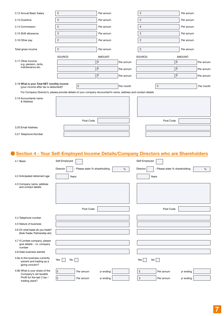| 3.12 Annual Basic Salary                                                                                      | £       | Per annum | £         |           | Per annum |           |
|---------------------------------------------------------------------------------------------------------------|---------|-----------|-----------|-----------|-----------|-----------|
| 3.13 Overtime                                                                                                 | £       | Per annum | £         |           | Per annum |           |
| 3.14 Commission                                                                                               | £       | Per annum | £         |           | Per annum |           |
| 3.15 Shift allowance                                                                                          | £       | Per annum | £         |           | Per annum |           |
| 3.16 Other pay                                                                                                | £       | Per annum | £         |           | Per annum |           |
| Total gross income                                                                                            | £       | Per annum | £         |           | Per annum |           |
|                                                                                                               | SOURCE: | AMOUNT:   | SOURCE:   |           | AMOUNT:   |           |
| 3.17 Other Income.<br>e.g. pension, rents,                                                                    |         | £         | Per annum |           | l£        | Per annum |
| maintenance etc.                                                                                              |         | £         | Per annum |           | £         | Per annum |
|                                                                                                               |         | ١£        | Per annum |           | ١£        | Per annum |
| 3.18 What is your Total NET monthly income<br>(your income after tax is deducted)?                            | £       |           | Per month | £         |           | Per month |
| For Company Director's, please provide details of your company Accountant's name, address and contact details |         |           |           |           |           |           |
| 3.19 Accountants name<br>& Address                                                                            |         |           |           |           |           |           |
|                                                                                                               |         | Post Code |           | Post Code |           |           |
| 3.20 Email Address                                                                                            |         |           |           |           |           |           |
| 3.21 Telephone Number                                                                                         |         |           |           |           |           |           |

# **Section 4 - Your Self-Employed Income Details/Company Directors who are Shareholders**

| 4.1 Basis                                                                     | Self-Employed                                     | Self-Employed                                  |
|-------------------------------------------------------------------------------|---------------------------------------------------|------------------------------------------------|
|                                                                               | Director<br>- Please state % shareholding<br>$\%$ | - Please state % shareholding<br>Director<br>% |
| 4.2 Anticipated retirement age                                                | Years                                             | Years                                          |
| 4.3 Company name, address<br>and contact details                              |                                                   |                                                |
|                                                                               | Post Code                                         | Post Code                                      |
| 4.4 Telephone number                                                          |                                                   |                                                |
| 4.5 Nature of business                                                        |                                                   |                                                |
| 4.6 On what basis do you trade?<br>(Sole Trader, Partnership etc)             |                                                   |                                                |
| 4.7 If Limited company, please<br>give details - i.e. company<br>number       |                                                   |                                                |
| 4.8 Date business started                                                     |                                                   |                                                |
| 4.9a Is this business currently<br>solvent and trading as a<br>going concern? | Yes<br>No                                         | No <sub>1</sub><br>Yes                         |
| 4.9b What is your share of the<br>Company's net taxable                       | £<br>Per annum<br>yr ending                       | £<br>Per annum<br>yr ending                    |
| Profit for the last 2 tax /                                                   | £<br>yr ending<br>Per annum                       | £<br>Per annum<br>yr ending                    |

trading years?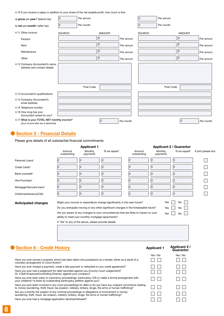4.10 If you receive a salary in addition to your share of the net taxable profit, how much is this:

| a) gross per year? (before tax)                                                    | £       | Per annum |         |           | £       | Per annum |         |           |
|------------------------------------------------------------------------------------|---------|-----------|---------|-----------|---------|-----------|---------|-----------|
| b) net per month? (after tax)                                                      | £       | Per month |         |           | £       | Per month |         |           |
| 4.11 Other income                                                                  | SOURCE: |           | AMOUNT: |           | SOURCE: |           | AMOUNT: |           |
| Pension                                                                            |         |           | l£      | Per annum |         |           | £       | Per annum |
| Rent                                                                               |         |           | £       | Per annum |         |           | £       | Per annum |
| Maintenance                                                                        |         |           | l£      | Per annum |         |           | £       | Per annum |
| Other                                                                              |         |           | £       | Per annum |         |           | £       | Per annum |
| 4.12 Company Accountant's name,<br>address and contact details                     |         |           |         |           |         |           |         |           |
|                                                                                    |         | Post Code |         |           |         | Post Code |         |           |
| 4.13 Accountant's qualifications                                                   |         |           |         |           |         |           |         |           |
| 4.14 Company Accountant's<br>email address                                         |         |           |         |           |         |           |         |           |
| 4.15 Telephone number                                                              |         |           |         |           |         |           |         |           |
| 4.16 How long has your<br>Accountant acted for you?                                |         |           |         |           |         |           |         |           |
| 4.17 What is your TOTAL NET monthly income?<br>(your income after tax is deducted) |         |           | £       | Per month |         |           | £       | Per month |

## **Section 5 - Financial Details**

Please give details of all substantial financial commitments

|                                                                                                                                                                                   | <b>Applicant 1</b>                                                                                         |                     |                                                                                                                                                                              | <b>Applicant 2 / Guarantor</b> |                     |                           |                      |
|-----------------------------------------------------------------------------------------------------------------------------------------------------------------------------------|------------------------------------------------------------------------------------------------------------|---------------------|------------------------------------------------------------------------------------------------------------------------------------------------------------------------------|--------------------------------|---------------------|---------------------------|----------------------|
|                                                                                                                                                                                   | Amount<br>outstanding                                                                                      | Monthly<br>payments | To be repaid*                                                                                                                                                                | Amount<br>outstanding          | Monthly<br>payments | To be repaid*             | If joint please tick |
| Personal Loans*                                                                                                                                                                   | £                                                                                                          | l£                  | £                                                                                                                                                                            | £                              | l£                  | £                         |                      |
| Credit Cards*                                                                                                                                                                     | £                                                                                                          | £                   | £                                                                                                                                                                            | £                              | £                   | £                         |                      |
| Bank overdraft*                                                                                                                                                                   | £                                                                                                          | £                   | £                                                                                                                                                                            | £                              | £                   | £                         |                      |
| Hire Purchase*                                                                                                                                                                    | £                                                                                                          | £                   | £                                                                                                                                                                            | £                              | £                   | £                         |                      |
| Mortgage/Secured loans*                                                                                                                                                           | £                                                                                                          | £                   | ١£                                                                                                                                                                           | £                              | £                   | £                         |                      |
| Child/maintenance/CSA                                                                                                                                                             | £                                                                                                          | £                   | Ŀ                                                                                                                                                                            | £                              | £                   | £                         |                      |
| <b>Anticipated changes</b>                                                                                                                                                        | ability to meet your monthly mortgage repayments?<br>If 'Yes' to any of the above, please provide details: |                     | Do you anticipate moving or any other significant changes in the foreseeable future?<br>Are you aware of any changes to your circumstances that are likely to impact on your |                                | Yes<br>Yes          | No<br>No                  |                      |
| <b>Section 6 - Credit History</b>                                                                                                                                                 |                                                                                                            |                     |                                                                                                                                                                              |                                | <b>Applicant 1</b>  | Applicant 2/<br>Guarantor |                      |
| Have you ever owned a property which has been taken into possession by a lender, either as a result of a<br>voluntary arrangement or Court Action?                                |                                                                                                            |                     |                                                                                                                                                                              |                                | Yes / No            | Yes / No                  |                      |
| Have you ever missed a payment, made a late payment or defaulted on any credit agreement?                                                                                         |                                                                                                            |                     |                                                                                                                                                                              |                                |                     |                           |                      |
| Have you ever had a judgement for debt recorded against you (County Court Judgement)?<br>Or, if Self-Employed/controlling Director, against your company?                         |                                                                                                            |                     |                                                                                                                                                                              |                                |                     |                           |                      |
| Have you ever been party to insolvency proceedings, bankruptcy, IVA or made a formal arrangement with<br>your creditors? Is there an outstanding bankruptcy petition against you? |                                                                                                            |                     |                                                                                                                                                                              |                                |                     |                           |                      |

Have you ever been involved in any court proceedings for debt or do you have any unspent convictions relating to money laundering, theft, fraud, tax evasion, robbery, bribery, drugs, fire arms or human trafficking? Are you currently the subject of any criminal proceedings or allegations of involvement in money

laundering, theft, fraud, tax evasion, robbery, bribery, drugs, fire arms or human trafficking? Have you ever had a mortgage application declined/refused?

| .             |               | 1. 1. 1. 1. 1. |
|---------------|---------------|----------------|
| $\Box$ $\Box$ | $\Box$        |                |
| <b>The Co</b> |               | $\Box$ $\Box$  |
| $\Box$ $\Box$ |               | $\Box$ $\Box$  |
| $\Box$ $\Box$ | $\Box$ $\Box$ |                |
| $\Box$        |               | <b>The Co</b>  |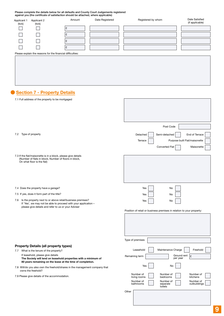Please complete the details below for all defaults and County Court Judgements registered against you (the certificate of satisfaction should be attached, where applicable)

| <b>Applicant 1</b><br>(tick) | Applicant 2<br>(tick)                                      | Amount | Date Registered | Registered by whom | Date Satisfied<br>(if applicable) |
|------------------------------|------------------------------------------------------------|--------|-----------------|--------------------|-----------------------------------|
|                              |                                                            |        |                 |                    |                                   |
|                              |                                                            |        |                 |                    |                                   |
|                              |                                                            |        |                 |                    |                                   |
|                              |                                                            |        |                 |                    |                                   |
|                              | Please explain the reasons for the financial difficulties: |        |                 |                    |                                   |
|                              |                                                            |        |                 |                    |                                   |
|                              |                                                            |        |                 |                    |                                   |
|                              |                                                            |        |                 |                    |                                   |

# **Section 7 - Property Details**

| 7.1 Full address of the property to be mortgaged                                                                              |                                                                             |
|-------------------------------------------------------------------------------------------------------------------------------|-----------------------------------------------------------------------------|
|                                                                                                                               |                                                                             |
|                                                                                                                               |                                                                             |
|                                                                                                                               |                                                                             |
|                                                                                                                               |                                                                             |
|                                                                                                                               | Post Code                                                                   |
| 7.2 Type of property                                                                                                          | Detached<br>Semi-detached<br>End of Terrace                                 |
|                                                                                                                               | Terrace<br>Purpose built Flat/maisonette                                    |
|                                                                                                                               | Converted Flat<br>Maisonette                                                |
| 7.3 If the flat/maisonette is in a block, please give details                                                                 |                                                                             |
| (Number of flats in block, Number of floors in block,<br>On what floor is the flat)                                           |                                                                             |
|                                                                                                                               |                                                                             |
|                                                                                                                               |                                                                             |
|                                                                                                                               |                                                                             |
| 7.4 Does the property have a garage?                                                                                          | Yes<br>No                                                                   |
| 7.5 If yes, does it form part of the title?                                                                                   | Yes<br>No                                                                   |
| Is the property next to or above retail/business premises?<br>7.6                                                             |                                                                             |
| If 'Yes', we may not be able to proceed with your application -                                                               | Yes<br>No                                                                   |
| please give details and refer to us or your Adviser                                                                           | Position of retail or business premises in relation to your property:       |
|                                                                                                                               |                                                                             |
|                                                                                                                               |                                                                             |
|                                                                                                                               |                                                                             |
|                                                                                                                               |                                                                             |
|                                                                                                                               | Type of premises                                                            |
| <b>Property Details (all property types)</b>                                                                                  |                                                                             |
| 7.7 What is the tenure of the property?<br>If leasehold, please give details                                                  | Maintenance Charge<br>Leasehold<br>Freehold                                 |
| The Society will lend on leasehold properties with a minimum of<br>80 years remaining on the lease at the time of completion. | Ground rent $\left  \right $ £<br>Remaining term<br>per year                |
| 7.8 Will/do you also own the freehold/shares in the management company that                                                   | Yes<br>No                                                                   |
| owns the freehold?<br>7.9 Please give details of the accommodation.                                                           | Number of<br>Number of<br>Number of<br>kitchens<br>living rooms<br>bedrooms |
|                                                                                                                               | Number of<br>Number of<br>Number of                                         |
|                                                                                                                               | outbuildings<br>bathrooms<br>separate<br>toilets                            |
|                                                                                                                               | Other                                                                       |
|                                                                                                                               |                                                                             |
|                                                                                                                               |                                                                             |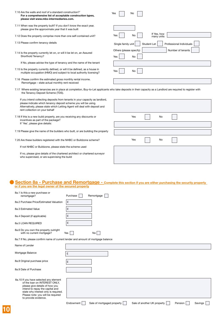| 7.10 Are the walls and roof of a standard construction?<br>For a comprehensive list of acceptable construction types,<br>please visit www.mbs-intermediaries.com.                                                                                               | No<br>Yes                                                        |
|-----------------------------------------------------------------------------------------------------------------------------------------------------------------------------------------------------------------------------------------------------------------|------------------------------------------------------------------|
| 7.11 When was the property built? If you don't know the exact year,<br>please give the approximate year that it was built                                                                                                                                       |                                                                  |
| 7.12 Does the property comprise more than one self-contained unit?                                                                                                                                                                                              | If Yes, how<br>No<br>Yes<br>many units                           |
| 7.13 Please confirm tenancy details                                                                                                                                                                                                                             | Single family unit<br>Student Let<br>Professional Individuals    |
| 7.14 Is the property currently let on, or will it be let on, an Assured<br>Shorthold Tenancy?                                                                                                                                                                   | Number of tenants<br>Others (please specify)<br><b>No</b><br>Yes |
| If No, please advise the type of tenancy and the name of the tenant                                                                                                                                                                                             |                                                                  |
| 7.15 Is the property currently defined, or will it be defined, as a house in<br>multiple occupation (HMO) and subject to local authority licensing?                                                                                                             | No<br>Yes                                                        |
| 7.16 Please confirm the estimated gross monthly rental income.<br>Remortgage - state actual monthly rent received                                                                                                                                               |                                                                  |
| 7.17 Where existing tenancies are in place at completion, Buy-to-Let applicants who take deposits in their capacity as a Landlord are required to register with<br>the Tenancy Deposit Scheme (TDS).                                                            |                                                                  |
| If you intend collecting deposits from tenants in your capacity as landlord,<br>please indicate which tenancy deposit scheme you will be using.<br>Alternatively, please state which Letting Agent will deal with deposit and<br>rent collection on your behalf |                                                                  |
| 7.18 If this is a new build property, are you receiving any discounts or<br>incentives as part of the package?                                                                                                                                                  | Yes<br>No                                                        |
| If 'Yes', please give details:                                                                                                                                                                                                                                  |                                                                  |
| 7.19 Please give the name of the builders who built, or are building the property                                                                                                                                                                               |                                                                  |
| 7.20 Are these builders registered with the NHBC or Buildzone scheme?                                                                                                                                                                                           | Yes<br>No                                                        |
| If not NHBC or Buildzone, please state the scheme used                                                                                                                                                                                                          |                                                                  |
| If no, please give details of the chartered architect or chartered surveyor<br>who supervised, or are supervising the build                                                                                                                                     |                                                                  |

#### **Section 8a - Purchase and Remortgage - Complete this section if you are either purchasing the security property or if you are the legal owner of the secured property**

| 8a.1 Is this a new purchase or<br>remortgage?                                                             | Purchase<br>Remortgage |
|-----------------------------------------------------------------------------------------------------------|------------------------|
| 8a.2 Purchase Price/Estimated Valuation                                                                   | £                      |
| 8a.3 Estimated Value                                                                                      | £                      |
| 8a.4 Deposit (if applicable)                                                                              | £                      |
| 8a.5 LOAN REQUIRED                                                                                        | £                      |
| 8a.6 Do you own the property outright<br>with no current mortgage?                                        | Yes<br>No l            |
| 8a.7 If No, please confirm name of current lender and amount of mortgage balance                          |                        |
| Name of Lender                                                                                            |                        |
| Mortgage Balance                                                                                          | £                      |
| 8a.8 Original purchase price                                                                              | £                      |
| 8a.9 Date of Purchase                                                                                     |                        |
| 8a.10 If you have selected any element<br>of the loan on INTEREST ONLY.<br>please give details of how you |                        |

intend to repay the capital and state why interest only is required. Please note: you will be required

to provide evidence.

Endowment Sale of mortgaged property Sale of another UK property Pension Savings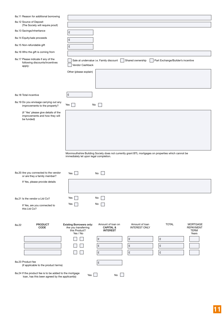| 8a.11 Reason for additional borrowing                                                                     |                                                                                                                                                                                                                                                                               |  |
|-----------------------------------------------------------------------------------------------------------|-------------------------------------------------------------------------------------------------------------------------------------------------------------------------------------------------------------------------------------------------------------------------------|--|
| 8a.12 Source of Deposit<br>(The Society will require proof)                                               |                                                                                                                                                                                                                                                                               |  |
| 8a.13 Savings/inheritance                                                                                 | £                                                                                                                                                                                                                                                                             |  |
| 8a.14 Equity/sale proceeds                                                                                | £                                                                                                                                                                                                                                                                             |  |
| 8a.15 Non-refundable gift                                                                                 | $\pounds$                                                                                                                                                                                                                                                                     |  |
| 8a.16 Who the gift is coming from                                                                         |                                                                                                                                                                                                                                                                               |  |
| 8a.17 Please indicate if any of the<br>following discounts/incentives<br>apply:                           | Sale at undervalue i.e. Family discount<br>Shared ownership<br>Part Exchange/Builder's incentive<br>Vendor Cashback                                                                                                                                                           |  |
|                                                                                                           | Other (please explain)                                                                                                                                                                                                                                                        |  |
|                                                                                                           |                                                                                                                                                                                                                                                                               |  |
| 8a.18 Total incentive                                                                                     | $\pmb{\mathfrak{L}}$                                                                                                                                                                                                                                                          |  |
| 8a.19 Do you envisage carrying out any<br>improvements to the property?                                   | No<br>Yes                                                                                                                                                                                                                                                                     |  |
| (if 'Yes' please give details of the<br>improvements and how they will<br>be funded)                      |                                                                                                                                                                                                                                                                               |  |
|                                                                                                           |                                                                                                                                                                                                                                                                               |  |
|                                                                                                           |                                                                                                                                                                                                                                                                               |  |
|                                                                                                           |                                                                                                                                                                                                                                                                               |  |
|                                                                                                           | Monmouthshire Building Society does not currently grant BTL mortgages on properties which cannot be                                                                                                                                                                           |  |
|                                                                                                           | immediately let upon legal completion.                                                                                                                                                                                                                                        |  |
|                                                                                                           |                                                                                                                                                                                                                                                                               |  |
| 8a.20 Are you connected to the vendor<br>or are they a family member?                                     | Yes  <br>No                                                                                                                                                                                                                                                                   |  |
| If Yes, please provide details                                                                            |                                                                                                                                                                                                                                                                               |  |
|                                                                                                           |                                                                                                                                                                                                                                                                               |  |
|                                                                                                           |                                                                                                                                                                                                                                                                               |  |
| 8a.21 Is the vendor a Ltd Co?                                                                             | Yes<br>No                                                                                                                                                                                                                                                                     |  |
| If Yes, are you connected to<br>this Ltd Co?                                                              | Yes<br>No                                                                                                                                                                                                                                                                     |  |
|                                                                                                           |                                                                                                                                                                                                                                                                               |  |
| <b>PRODUCT</b><br>8a.22<br><b>CODE</b>                                                                    | <b>TOTAL</b><br><b>Existing Borrowers only:</b><br>Amount of loan on<br>Amount of loan<br><b>MORTGAGE</b><br><b>CAPITAL &amp;</b><br><b>INTEREST ONLY</b><br><b>REPAYMENT</b><br>Are you transferring<br>this Product?<br><b>INTEREST</b><br><b>TERM</b><br>Yes / No<br>Years |  |
|                                                                                                           | £<br>£<br>£                                                                                                                                                                                                                                                                   |  |
|                                                                                                           | $\pmb{\mathfrak{L}}$<br>$\pmb{\mathfrak{L}}$<br>$\ensuremath{\mathfrak{L}}$                                                                                                                                                                                                   |  |
|                                                                                                           | $\pounds$<br>$\pmb{\mathfrak{L}}$<br>£                                                                                                                                                                                                                                        |  |
| 8a.23 Product fee<br>(if applicable to the product terms)                                                 | £                                                                                                                                                                                                                                                                             |  |
| 8a.24 If the product fee is to be added to the mortgage<br>loan, has this been agreed by the applicant(s) | Yes $ $<br>No                                                                                                                                                                                                                                                                 |  |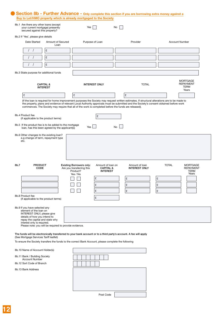| 8b.1 Are there any other loans (except<br>your current mortgage) presently<br>secured against this property?                                                                                                                                                   |                           | Yes                                                                                                               | No                                        |                                        |              |                                                      |
|----------------------------------------------------------------------------------------------------------------------------------------------------------------------------------------------------------------------------------------------------------------|---------------------------|-------------------------------------------------------------------------------------------------------------------|-------------------------------------------|----------------------------------------|--------------|------------------------------------------------------|
| 8b.2 If 'Yes', please give details                                                                                                                                                                                                                             |                           |                                                                                                                   |                                           |                                        |              |                                                      |
| Date Started                                                                                                                                                                                                                                                   | Amount of Secured<br>Loan | Purpose of Loan                                                                                                   |                                           | Provider                               |              | <b>Account Number</b>                                |
| £                                                                                                                                                                                                                                                              |                           |                                                                                                                   |                                           |                                        |              |                                                      |
| £                                                                                                                                                                                                                                                              |                           |                                                                                                                   |                                           |                                        |              |                                                      |
| £                                                                                                                                                                                                                                                              |                           |                                                                                                                   |                                           |                                        |              |                                                      |
| 8b.3 State purpose for additional funds                                                                                                                                                                                                                        |                           |                                                                                                                   |                                           |                                        |              |                                                      |
| <b>CAPITAL &amp;</b><br><b>INTEREST</b>                                                                                                                                                                                                                        |                           | <b>INTEREST ONLY</b>                                                                                              |                                           | <b>TOTAL</b>                           |              | <b>MORTGAGE</b><br><b>REPAYMENT</b><br>TERM<br>Years |
| £                                                                                                                                                                                                                                                              |                           | £                                                                                                                 |                                           | £                                      |              |                                                      |
| 8b.4 Product fee<br>(if applicable to the product terms)<br>8b.5 If the product fee is to be added to the mortgage                                                                                                                                             |                           | £                                                                                                                 |                                           |                                        |              |                                                      |
| loan, has this been agreed by the applicant(s)<br>e.g change of term, repayment type<br>etc.                                                                                                                                                                   |                           | Yes                                                                                                               | <b>No</b>                                 |                                        |              |                                                      |
| <b>PRODUCT</b><br>CODE                                                                                                                                                                                                                                         |                           | <b>Existing Borrowers only:</b><br>Are you transferring this                                                      | Amount of loan on<br><b>CAPITAL &amp;</b> | Amount of loan<br><b>INTEREST ONLY</b> | <b>TOTAL</b> | <b>MORTGAGE</b><br><b>REPAYMENT</b>                  |
|                                                                                                                                                                                                                                                                |                           | Product?<br>Yes / No<br><b>The Common</b>                                                                         | <b>INTEREST</b>                           |                                        |              | <b>TERM</b><br>Years                                 |
|                                                                                                                                                                                                                                                                |                           | £<br>£                                                                                                            |                                           | £                                      | £<br>£       |                                                      |
|                                                                                                                                                                                                                                                                |                           | £                                                                                                                 |                                           | £<br>£                                 | £            |                                                      |
| (if applicable to the product terms)                                                                                                                                                                                                                           |                           | £                                                                                                                 |                                           |                                        |              |                                                      |
| 8b.6 Other changes to the existing loan?<br>8b.7<br>8b.8 Product fee<br>8b.9 If you have selected any<br>element of the loan on<br>INTEREST ONLY, please give<br>details of how you intend to<br>repay the capital and state why<br>interest only is required. |                           |                                                                                                                   |                                           |                                        |              |                                                      |
| Please note: you will be required to provide evidence.                                                                                                                                                                                                         |                           |                                                                                                                   |                                           |                                        |              |                                                      |
|                                                                                                                                                                                                                                                                |                           | The funds will be electronically transferred to your bank account or to a third party's account. A fee will apply |                                           |                                        |              |                                                      |
|                                                                                                                                                                                                                                                                |                           | To ensure the Society transfers the funds to the correct Bank Account, please complete the following              |                                           |                                        |              |                                                      |
| <b>Account Number</b>                                                                                                                                                                                                                                          |                           |                                                                                                                   |                                           |                                        |              |                                                      |
| (See Mortgage Services Tariff leaflet)<br>8b.10 Name of Account Holder(s)<br>8b.11 Bank / Building Society<br>8b.12 Sort Code of Branch                                                                                                                        |                           |                                                                                                                   |                                           |                                        |              |                                                      |

Post Code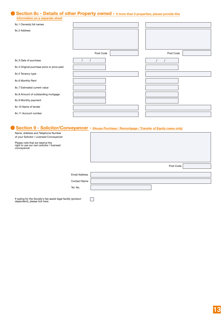#### **Section 8c - Details of other Property owned - if more than 2 properties, please provide this information on a separate sheet**

| 8c.1 Owner(s) full names                   |           |           |  |
|--------------------------------------------|-----------|-----------|--|
| 8c.2 Address                               |           |           |  |
|                                            |           |           |  |
|                                            |           |           |  |
|                                            |           |           |  |
|                                            | Post Code | Post Code |  |
| 8c.3 Date of purchase                      |           |           |  |
| 8c.4 Original purchase price or price paid |           |           |  |
| 8c.5 Tenancy type                          |           |           |  |
| 8c.6 Monthly Rent                          |           |           |  |
| 8c.7 Estimated current value               |           |           |  |
| 8c.8 Amount of outstanding mortgage        |           |           |  |
| 8c.9 Monthly payment                       |           |           |  |
| 8c.10 Name of lender                       |           |           |  |
| 8c.11 Account number                       |           |           |  |

# ● **Section 9 - Solicitor/Conveyancer** - **(House Purchase / Remortgage / Transfer of Equity cases only)**

| Name, Address and Telephone Number<br>of your Solicitor / Licensed Conveyancer               |                      |           |  |
|----------------------------------------------------------------------------------------------|----------------------|-----------|--|
| Please note that we reserve the<br>right to use our own solicitor / licensed<br>conveyancer  |                      |           |  |
|                                                                                              |                      |           |  |
|                                                                                              |                      | Post Code |  |
|                                                                                              |                      |           |  |
|                                                                                              | <b>Email Address</b> |           |  |
|                                                                                              | Contact Name         |           |  |
|                                                                                              | Tel. No.             |           |  |
| If opting for the Society's fee assist legal facility (product dependent), please tick here: |                      |           |  |
|                                                                                              |                      |           |  |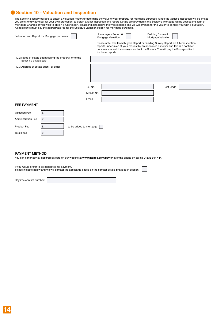# **Section 10 - Valuation and Inspection**

The Society is legally obliged to obtain a Valuation Report to determine the value of your property for mortgage purposes. Since the valuer's inspection will be limited you are strongly advised, for your own protection, to obtain a fuller inspection and report. Details are provided in the Society's Mortgage Guide Leaflet and Tariff of Mortgage Charges. If you wish to obtain a fuller report, please indicate below the type required and we will arrange for the Valuer to contact you with a quotation. All applicants must pay the appropriate fee for the Society's Valuation Report for mortgage purposes.

| Valuation and Report for Mortgage purposes                                            |    |                         |            | Homebuyers Report &<br>Mortgage Valuation | <b>Building Survey &amp;</b><br>Mortgage Valuation                                                                                                                                                                                                             |  |
|---------------------------------------------------------------------------------------|----|-------------------------|------------|-------------------------------------------|----------------------------------------------------------------------------------------------------------------------------------------------------------------------------------------------------------------------------------------------------------------|--|
|                                                                                       |    |                         |            | for these reports.                        | Please note: The Homebuyers Report or Building Survey Report are fuller inspection<br>reports undertaken at your request by an appointed surveyor and this is a contract<br>between you and the surveyor and not the Society. You will pay the Surveyor direct |  |
| 10.2 Name of estate agent selling the property, or of the<br>Seller if a private sale |    |                         |            |                                           |                                                                                                                                                                                                                                                                |  |
| 10.3 Address of estate agent, or seller                                               |    |                         |            |                                           |                                                                                                                                                                                                                                                                |  |
|                                                                                       |    |                         | Tel. No.   |                                           | Post Code                                                                                                                                                                                                                                                      |  |
|                                                                                       |    |                         | Mobile No. |                                           |                                                                                                                                                                                                                                                                |  |
|                                                                                       |    |                         | Email      |                                           |                                                                                                                                                                                                                                                                |  |
| <b>FEE PAYMENT</b>                                                                    |    |                         |            |                                           |                                                                                                                                                                                                                                                                |  |
| <b>Valuation Fee</b>                                                                  | £  |                         |            |                                           |                                                                                                                                                                                                                                                                |  |
| <b>Administration Fee</b>                                                             | £  |                         |            |                                           |                                                                                                                                                                                                                                                                |  |
| Product Fee                                                                           | £  | to be added to mortgage |            |                                           |                                                                                                                                                                                                                                                                |  |
| <b>Total Fees</b>                                                                     | ١£ |                         |            |                                           |                                                                                                                                                                                                                                                                |  |
|                                                                                       |    |                         |            |                                           |                                                                                                                                                                                                                                                                |  |

#### PAYMENT METHOD

You can either pay by debit/credit card on our website at **www.monbs.com/pay** or over the phone by calling **01633 844 444**.

If you would prefer to be contacted for payment,

please indicate below and we will contact the applicants based on the contact details provided in section 1

Daytime contact number: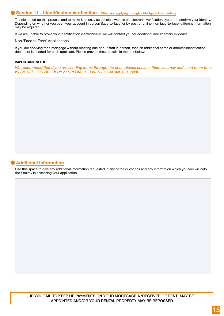### **Section 11 - Identification Verification - When not applying through a Mortgage Intermediary**

To help speed up this process and to make it as easy as possible we use an electronic verification system to confirm your identity. Depending on whether you open your account in person (face-to-face) or by post or online (non face-to-face) different information may be required.

If we are unable to prove your identification electronically, we will contact you for additional documentary evidence.

Non 'Face to Face' Applications

If you are applying for a mortgage without meeting one of our staff in person, then an additional name or address identification document is needed for each applicant. Please provide these details in the box below:

#### **IMPORTANT NOTICE**

*We recommend that if you are sending items through the post, please enclose them securely and send them to us by SIGNED FOR DELIVERY or SPECIAL DELIVERY GUARANTEED post.*

## **Additional Information**

Use this space to give any additional information requested in any of the questions and any information which you feel will help the Society in assessing your application.

IF YOU FAIL TO KEEP UP PAYMENTS ON YOUR MORTGAGE A 'RECEIVER OF RENT' MAY BE APPOINTED AND/OR YOUR RENTAL PROPERTY MAY BE REPOSSED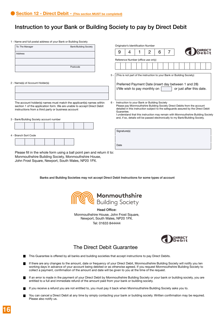# Instruction to your Bank or Building Society to pay by Direct Debit

1 - Name and full postal address of your Bank or Building Society

| To: The Manager                                                                                                                                                                                        | <b>Bank/Building Society</b> |       |              |   | Originator's Identification Number |                                                                                                                                                                                                                |  |                          |  |  |
|--------------------------------------------------------------------------------------------------------------------------------------------------------------------------------------------------------|------------------------------|-------|--------------|---|------------------------------------|----------------------------------------------------------------------------------------------------------------------------------------------------------------------------------------------------------------|--|--------------------------|--|--|
| Address                                                                                                                                                                                                |                              |       | 9            | 4 | 2                                  | 6                                                                                                                                                                                                              |  |                          |  |  |
|                                                                                                                                                                                                        |                              |       |              |   |                                    |                                                                                                                                                                                                                |  |                          |  |  |
|                                                                                                                                                                                                        |                              |       |              |   | Reference Number (office use only) |                                                                                                                                                                                                                |  |                          |  |  |
|                                                                                                                                                                                                        | Postcode                     |       |              |   |                                    |                                                                                                                                                                                                                |  |                          |  |  |
|                                                                                                                                                                                                        |                              | $5 -$ |              |   |                                    | (This is not part of the instruction to your Bank or Building Society)                                                                                                                                         |  |                          |  |  |
| 2 - Name(s) of Account Holder(s)                                                                                                                                                                       |                              |       |              |   |                                    | Preferred Payment Date (insert day between 1 and 28)                                                                                                                                                           |  |                          |  |  |
|                                                                                                                                                                                                        |                              |       |              |   | I/We wish to pay monthly on        |                                                                                                                                                                                                                |  | or just after this date. |  |  |
|                                                                                                                                                                                                        |                              |       |              |   |                                    |                                                                                                                                                                                                                |  |                          |  |  |
| The account holder(s) names must match the applicant(s) names within<br>section 1 of the application form. We are unable to accept Direct Debit<br>instructions from a third party or business account |                              | $6 -$ | Guarantee.   |   |                                    | Instruction to your Bank or Building Society<br>Please pay Monmouthshire Building Society Direct Debits from the account<br>detailed in this instruction subject to the safeguards assured by the Direct Debit |  |                          |  |  |
| 3 - Bank/Building Society account number                                                                                                                                                               |                              |       |              |   |                                    | I understand that this instruction may remain with Monmouthshire Building Society<br>and, if so, details will be passed electronically to my Bank/Building Society.                                            |  |                          |  |  |
|                                                                                                                                                                                                        |                              |       |              |   |                                    |                                                                                                                                                                                                                |  |                          |  |  |
|                                                                                                                                                                                                        |                              |       | Signature(s) |   |                                    |                                                                                                                                                                                                                |  |                          |  |  |
| 4 - Branch Sort Code                                                                                                                                                                                   |                              |       |              |   |                                    |                                                                                                                                                                                                                |  |                          |  |  |
|                                                                                                                                                                                                        |                              |       |              |   |                                    |                                                                                                                                                                                                                |  |                          |  |  |
|                                                                                                                                                                                                        |                              |       | Date         |   |                                    |                                                                                                                                                                                                                |  |                          |  |  |
| Please fill in the whole form using a ball point pen and return it to:                                                                                                                                 |                              |       |              |   |                                    |                                                                                                                                                                                                                |  |                          |  |  |

Please fill in the whole form using a ball point pen and return it to: Monmouthshire Building Society, Monmouthshire House, John Frost Square, Newport, South Wales, NP20 1PX.

Banks and Building Societies may not accept Direct Debit Instructions for some types of account



Head Office: Monmouthshire House, John Frost Square, Newport, South Wales, NP20 1PX. Tel: 01633 844444



## The Direct Debit Guarantee

- This Guarantee is offered by all banks and building societies that accept instructions to pay Direct Debits.
- If there are any changes to the amount, date or frequency of your Direct Debit, Monmouthshire Building Society will notify you ten working days in advance of your account being debited or as otherwise agreed. If you request Monmouthshire Building Society to collect a payment, confirmation of the amount and date will be given to you at the time of the request.
- If an error is made in the payment of your Direct Debit by Monmouthshire Building Society or your bank or building society, you are entitled to a full and immediate refund of the amount paid from your bank or building society.
- If you receive a refund you are not entitled to, you must pay it back when Monmouthshire Building Society asks you to.
- You can cancel a Direct Debit at any time by simply contacting your bank or building society. Written confirmation may be required. Please also notify us.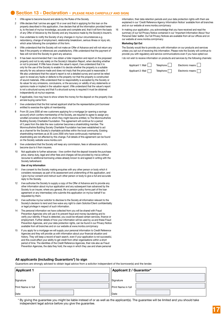## **Section 13 - Declaration - (PLEASE READ CAREFULLY AND SIGN)**

- 1 I/We agree to become bound and abide by the Rules of the Society.
- I/We declare that I am/we are aged 18 or over and that in applying for this loan on the property described in this application, I/we declare that all the information provided herein is, to the best of my/our knowledge, accurate and complete and, that it will form the basis of any Offer of Advance by the Society and any Insurance made by the Society's insurer's.
- 3 I/we undertake to notify the Society of any changes in my/our circumstances e.g. redundancy, change of employment, relationship breakdown, serious illness or injury etc. which arise following the completion of this form.
- I/We understand that the Society will not make an Offer of Advance and will not return any fees if the property or references are unsatisfactory. I/We understand that the payment of fees will not bind the Society to grant any advance.
- 5 It has been recommended that I /we obtain a fuller inspection and report on the proposed property and not to rely solely on the Society's Valuation Report, when deciding whether or not to proceed. If I/We have chosen the valuer's report, I/we understand that it is only for the use of the Society to enable it to decide whether the property is a suitable security for any advance made and does not imply that the price paid is reasonable. I/ We also understand that the valuer's report is not a detailed survey and cannot be relied upon to reveal any faults or defects to the property nor that the property is constructed of sound materials. I/We understand that no responsibility is accepted by the Society or its valuer for any omissions, conclusions, or the accuracy or validity of any statements or opinions made or implied in the valuation report. I/We understand that the valuer's report is not a structural survey and that if a structural survey is required it must be obtained independently at my/our expense.
- 6 If applicable, I/we may have to show where the money for the deposit on the property I/we am/are buying came from.
- 7 I/we understand that the first named applicant shall be the representative joint borrower entitled to exercise the rights of membership.
- From 30 June 2000 all new customers applying for a mortgage [or opening a savings account] which confers membership of the Society, are required to agree to assign any windfall conversion benefits to which they might become entitled, to The Monmouthshire Building Society Charitable Foundation. This agreement will continue for a period of 5 years from the date the new customer becomes a shareholding member. The Monmouthshire Building Society Charitable Foundation has been established to act as a channel for the Society's charitable activities within the local community. Existing shareholding members as at 30 June 2000 who have continuously maintained a shareholding are not affected by this change. Full details of this agreement can be found on the Society website www.monbs.com
- 9 I/we understand that the Society will keep any commission, fees or allowances which, become due to it from insurers.
- 10 Not applicable to further advances I/we confirm that the deposit towards the purchase price, stamp duty, legal and other fees and charges will be provided by me/us without recourse to additional borrowing unless already known to and agreed in writing with the Society beforehand.

#### **Use of my information**

- 11 I/we consent to the Society making enquiries with any other person or body which it considers necessary as part of its assessment and underwriting of this application, and I give my/our consent and instruct such other person or body to give a full and accurate reply to the Society.
- 12 I/we authorise the Society to supply a copy of the Offer of Advance and to provide any other information about my/our application and any subsequent loan advanced by the Society to an insurer, where any general, life or pension policy forms part of the loan agreement or any intermediary who submits this application on my/our behalf if so requested by them.
- 13 I/we authorise my/our solicitor to disclose to the Society all information relevant to the Society's decision to lend and I/we waive any right to claim Solicitor/Client confidentiality or legal privilege in respect of such information.
- 14 The personal information we have collected from you will be shared with Fraud Prevention Agencies who will use it to prevent fraud and money-laundering and to verify your identity. If fraud is detected, you could be refused certain services, finance or employment. Further details of how your information will be used by us and these Fraud Prevention Agencies, and your data protection rights, can be found in our Privacy Notice available from all branches and on our website at www.monbs.com/privacy
- If you apply for a mortgage we will supply your personal information to Credit Reference Agencies and they will provide us with information about your financial situation and history. They will keep a record of each search, even if your application is not successful, and this could affect your ability to get credit from other organisations within a short period of time. The identities of the Credit Reference Agencies, their role also as Fraud Prevention Agencies, the data they hold, the ways in which they use and share personal

#### **All applicants (including Guarantors\*) to sign**

Guarantors are strongly advised to obtain legal advice from a solicitor independent of the borrower(s) and the lender.

| <b>Applicant 1</b>        | Applicant 2 / Guarantor* |  |  |  |
|---------------------------|--------------------------|--|--|--|
| Signature                 | Signature                |  |  |  |
| <b>Print Name in full</b> | Print Name in full       |  |  |  |
| Date                      | Date                     |  |  |  |

\* By giving the guarantee you might be liable instead of or as well as the applicant(s). The guarantee will be limited and you should take independent legal advice before you give the guarantee.

information, their data retention periods and your data protection rights with them are explained in our 'Credit Reference Agency Information Notice' available from all branches and on our website at www.monbs.com/privacy

16 In making your application, you acknowledge that you have received and read the summary of our full Privacy Notice contained in our 'Important Information About Your Personal Data' leaflet. Our full Privacy Notices are available from all our offices and on our website at www.monbs.com/privacy

#### **Marketing Opt Out**

 The Society would like to provide you with information on our products and services unless you opt out of receiving this information. Please note the Society will continue to provide you with regulatory and service communications even if you have opted out. I do not wish to receive information on products and services by the following channels:

| Applicant 1: Mail | Telephone | Electronic means |
|-------------------|-----------|------------------|
| Applicant 2: Mail | Telephone | Electronic means |